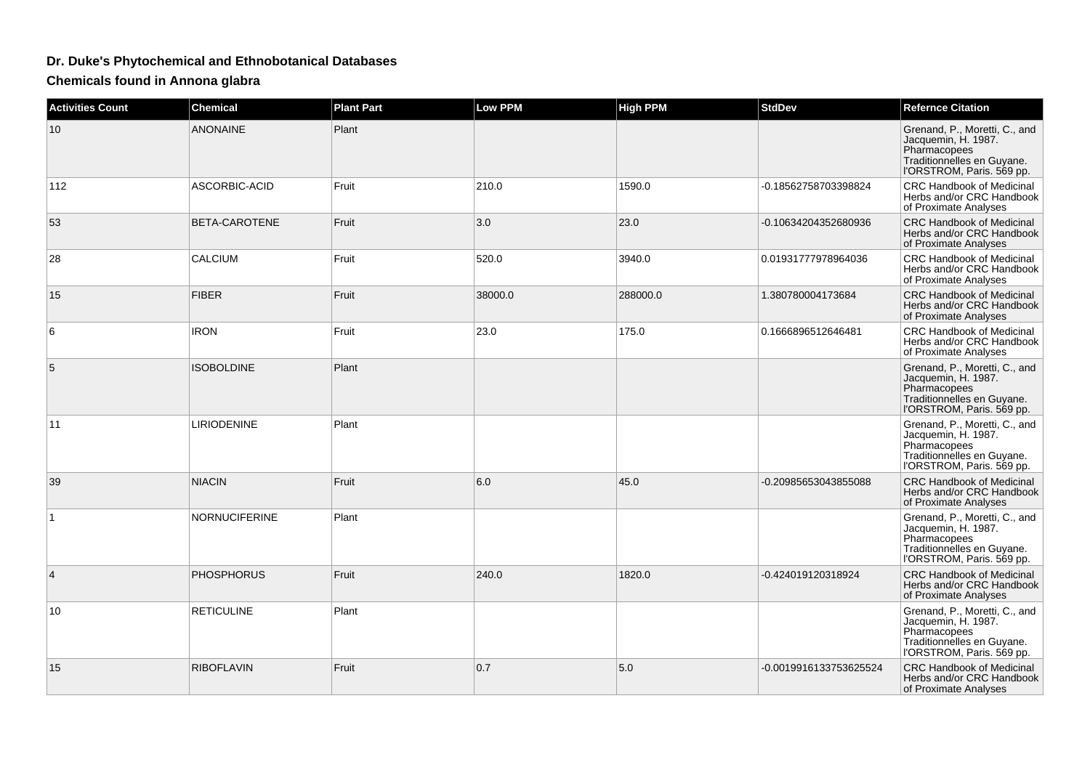## **Dr. Duke's Phytochemical and Ethnobotanical Databases**

**Chemicals found in Annona glabra**

| <b>Activities Count</b> | <b>Chemical</b>      | <b>Plant Part</b> | <b>Low PPM</b> | <b>High PPM</b> | <b>StdDev</b>          | <b>Refernce Citation</b>                                                                                                        |
|-------------------------|----------------------|-------------------|----------------|-----------------|------------------------|---------------------------------------------------------------------------------------------------------------------------------|
| 10                      | <b>ANONAINE</b>      | Plant             |                |                 |                        | Grenand, P., Moretti, C., and<br>Jacquemin, H. 1987.<br>Pharmacopees<br>Traditionnelles en Guyane.<br>l'ORSTROM, Paris. 569 pp. |
| 112                     | ASCORBIC-ACID        | Fruit             | 210.0          | 1590.0          | -0.18562758703398824   | <b>CRC Handbook of Medicinal</b><br>Herbs and/or CRC Handbook<br>of Proximate Analyses                                          |
| 53                      | BETA-CAROTENE        | Fruit             | 3.0            | 23.0            | -0.10634204352680936   | <b>CRC Handbook of Medicinal</b><br>Herbs and/or CRC Handbook<br>of Proximate Analyses                                          |
| 28                      | <b>CALCIUM</b>       | Fruit             | 520.0          | 3940.0          | 0.01931777978964036    | <b>CRC Handbook of Medicinal</b><br>Herbs and/or CRC Handbook<br>of Proximate Analyses                                          |
| 15                      | <b>FIBER</b>         | Fruit             | 38000.0        | 288000.0        | 1.380780004173684      | CRC Handbook of Medicinal<br>Herbs and/or CRC Handbook<br>of Proximate Analyses                                                 |
| 6                       | <b>IRON</b>          | Fruit             | 23.0           | 175.0           | 0.1666896512646481     | CRC Handbook of Medicinal<br>Herbs and/or CRC Handbook<br>of Proximate Analyses                                                 |
| 5                       | <b>ISOBOLDINE</b>    | Plant             |                |                 |                        | Grenand, P., Moretti, C., and<br>Jacquemin, H. 1987.<br>Pharmacopees<br>Traditionnelles en Guyane.<br>l'ORSTROM, Paris. 569 pp. |
| 11                      | <b>LIRIODENINE</b>   | Plant             |                |                 |                        | Grenand, P., Moretti, C., and<br>Jacquemin, H. 1987.<br>Pharmacopees<br>Traditionnelles en Guyane.<br>I'ORSTROM, Paris. 569 pp. |
| 39                      | <b>NIACIN</b>        | Fruit             | 6.0            | 45.0            | -0.20985653043855088   | <b>CRC Handbook of Medicinal</b><br>Herbs and/or CRC Handbook<br>of Proximate Analyses                                          |
| $\mathbf{1}$            | <b>NORNUCIFERINE</b> | Plant             |                |                 |                        | Grenand, P., Moretti, C., and<br>Jacquemin, H. 1987.<br>Pharmacopees<br>Traditionnelles en Guyane.<br>l'ORSTROM, Paris. 569 pp. |
| $\overline{4}$          | <b>PHOSPHORUS</b>    | Fruit             | 240.0          | 1820.0          | -0.424019120318924     | <b>CRC Handbook of Medicinal</b><br>Herbs and/or CRC Handbook<br>of Proximate Analyses                                          |
| 10                      | <b>RETICULINE</b>    | Plant             |                |                 |                        | Grenand, P., Moretti, C., and<br>Jacquemin, H. 1987.<br>Pharmacopees<br>Traditionnelles en Guyane.<br>l'ORSTROM, Paris. 569 pp. |
| 15                      | <b>RIBOFLAVIN</b>    | Fruit             | 0.7            | 5.0             | -0.0019916133753625524 | <b>CRC Handbook of Medicinal</b><br>Herbs and/or CRC Handbook<br>of Proximate Analyses                                          |